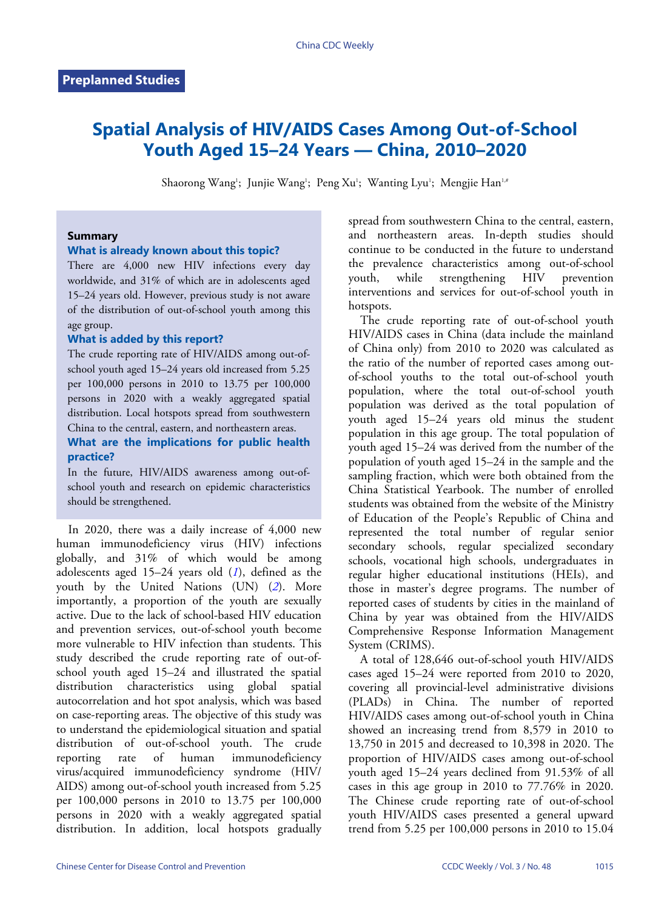# **Spatial Analysis of HIV/AIDS Cases Among Out-of-School Youth Aged 15–24 Years — China, 2010–2020**

Shaorong Wang<sup>1</sup>; Junjie Wang<sup>1</sup>; Peng Xu<sup>1</sup>; Wanting Lyu<sup>1</sup>; Mengjie Han<sup>1,#</sup>

## **Summary**

## **What is already known about this topic?**

There are  $4,000$  new HIV infections every day worldwide, and 31% of which are in adolescents aged 15–24 years old. However, previous study is not aware of the distribution of out-of-school youth among this age group.

#### **What is added by this report?**

The crude reporting rate of HIV/AIDS among out-ofschool youth aged 15–24 years old increased from 5.25 per 100,000 persons in 2010 to 13.75 per 100,000 persons in 2020 with a weakly aggregated spatial distribution. Local hotspots spread from southwestern China to the central, eastern, and northeastern areas.

## **What are the implications for public health practice?**

In the future, HIV/AIDS awareness among out-ofschool youth and research on epidemic characteristics should be strengthened.

In 2020, there was a daily increase of  $4,000$  new human immunodeficiency virus (HIV) infections globally, and 31% of which would be among adolescents aged 15–24 years old (*[1](#page-2-0)*), defined as the youth by the United Nations (UN) (*[2](#page-2-1)*). More importantly, a proportion of the youth are sexually active. Due to the lack of school-based HIV education and prevention services, out-of-school youth become more vulnerable to HIV infection than students. This study described the crude reporting rate of out-ofschool youth aged 15–24 and illustrated the spatial distribution characteristics using global spatial autocorrelation and hot spot analysis, which was based on case-reporting areas. The objective of this study was to understand the epidemiological situation and spatial distribution of out-of-school youth. The crude reporting rate of human immunodeficiency virus/acquired immunodeficiency syndrome (HIV/ AIDS) among out-of-school youth increased from 5.25 per 100,000 persons in 2010 to 13.75 per 100,000 persons in 2020 with a weakly aggregated spatial distribution. In addition, local hotspots gradually

spread from southwestern China to the central, eastern, and northeastern areas. In-depth studies should continue to be conducted in the future to understand the prevalence characteristics among out-of-school youth, while strengthening HIV prevention interventions and services for out-of-school youth in hotspots.

The crude reporting rate of out-of-school youth HIV/AIDS cases in China (data include the mainland of China only) from 2010 to 2020 was calculated as the ratio of the number of reported cases among outof-school youths to the total out-of-school youth population, where the total out-of-school youth population was derived as the total population of youth aged 15–24 years old minus the student population in this age group. The total population of youth aged 15–24 was derived from the number of the population of youth aged 15–24 in the sample and the sampling fraction, which were both obtained from the China Statistical Yearbook. The number of enrolled students was obtained from the website of the Ministry of Education of the People's Republic of China and represented the total number of regular senior secondary schools, regular specialized secondary schools, vocational high schools, undergraduates in regular higher educational institutions (HEIs), and those in master's degree programs. The number of reported cases of students by cities in the mainland of China by year was obtained from the HIV/AIDS Comprehensive Response Information Management System (CRIMS).

A total of 128,646 out-of-school youth HIV/AIDS cases aged 15–24 were reported from 2010 to 2020, covering all provincial-level administrative divisions (PLADs) in China. The number of reported HIV/AIDS cases among out-of-school youth in China showed an increasing trend from 8,579 in 2010 to 13,750 in 2015 and decreased to 10,398 in 2020. The proportion of HIV/AIDS cases among out-of-school youth aged 15–24 years declined from 91.53% of all cases in this age group in 2010 to 77.76% in 2020. The Chinese crude reporting rate of out-of-school youth HIV/AIDS cases presented a general upward trend from 5.25 per 100,000 persons in 2010 to 15.04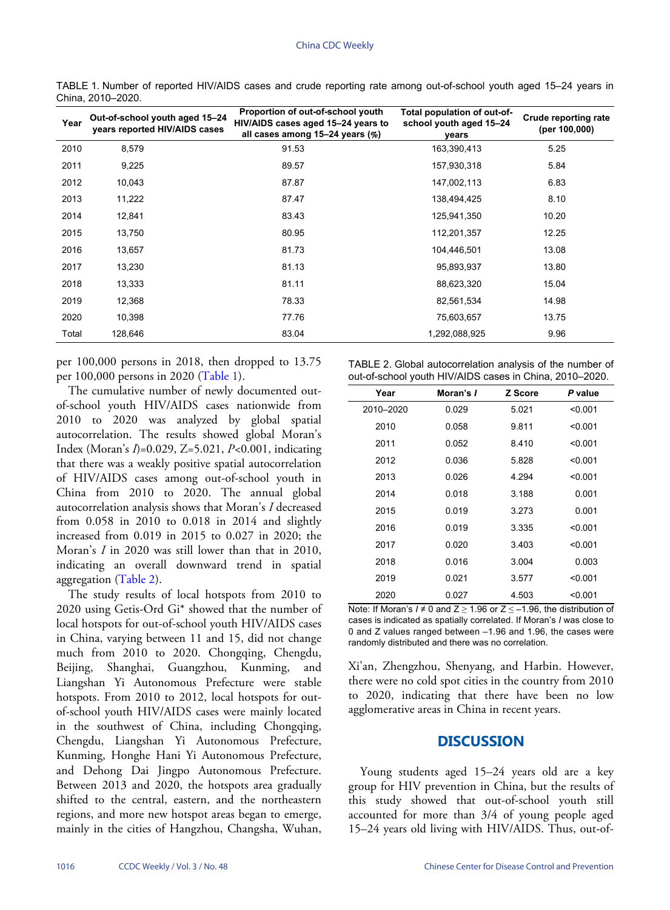| Year  | Out-of-school youth aged 15-24<br>years reported HIV/AIDS cases | Proportion of out-of-school youth<br>HIV/AIDS cases aged 15-24 years to<br>all cases among 15–24 years (%) | Total population of out-of-<br>school youth aged 15-24<br>years | Crude reporting rate<br>(per 100,000) |
|-------|-----------------------------------------------------------------|------------------------------------------------------------------------------------------------------------|-----------------------------------------------------------------|---------------------------------------|
| 2010  | 8,579                                                           | 91.53                                                                                                      | 163,390,413                                                     | 5.25                                  |
| 2011  | 9,225                                                           | 89.57                                                                                                      | 157,930,318                                                     | 5.84                                  |
| 2012  | 10,043                                                          | 87.87                                                                                                      | 147,002,113                                                     | 6.83                                  |
| 2013  | 11,222                                                          | 87.47                                                                                                      | 138,494,425                                                     | 8.10                                  |
| 2014  | 12,841                                                          | 83.43                                                                                                      | 125,941,350                                                     | 10.20                                 |
| 2015  | 13,750                                                          | 80.95                                                                                                      | 112,201,357                                                     | 12.25                                 |
| 2016  | 13,657                                                          | 81.73                                                                                                      | 104,446,501                                                     | 13.08                                 |
| 2017  | 13,230                                                          | 81.13                                                                                                      | 95,893,937                                                      | 13.80                                 |
| 2018  | 13,333                                                          | 81.11                                                                                                      | 88,623,320                                                      | 15.04                                 |
| 2019  | 12,368                                                          | 78.33                                                                                                      | 82,561,534                                                      | 14.98                                 |
| 2020  | 10,398                                                          | 77.76                                                                                                      | 75,603,657                                                      | 13.75                                 |
| Total | 128,646                                                         | 83.04                                                                                                      | 1,292,088,925                                                   | 9.96                                  |

<span id="page-1-0"></span>TABLE 1. Number of reported HIV/AIDS cases and crude reporting rate among out-of-school youth aged 15–24 years in China, 2010–2020.

per 100,000 persons in 2018, then dropped to 13.75 per 100,000 persons in 2020 [\(Table 1\)](#page-1-0).

The cumulative number of newly documented outof-school youth HIV/AIDS cases nationwide from 2010 to 2020 was analyzed by global spatial autocorrelation. The results showed global Moran's Index (Moran's *I*)=0.029, Z=5.021, *P<*0.001, indicating that there was a weakly positive spatial autocorrelation of HIV/AIDS cases among out-of-school youth in China from 2010 to 2020. The annual global autocorrelation analysis shows that Moran's *I* decreased from 0.058 in 2010 to 0.018 in 2014 and slightly increased from 0.019 in 2015 to 0.027 in 2020; the Moran's *I* in 2020 was still lower than that in 2010, indicating [an over](#page-1-1)all downward trend in spatial aggregation [\(Table 2\)](#page-1-1).

The study results of local hotspots from 2010 to 2020 using Getis-Ord Gi\* showed that the number of local hotspots for out-of-school youth HIV/AIDS cases in China, varying between 11 and 15, did not change much from 2010 to 2020. Chongqing, Chengdu, Beijing, Shanghai, Guangzhou, Kunming, and Liangshan Yi Autonomous Prefecture were stable hotspots. From 2010 to 2012, local hotspots for outof-school youth HIV/AIDS cases were mainly located in the southwest of China, including Chongqing, Chengdu, Liangshan Yi Autonomous Prefecture, Kunming, Honghe Hani Yi Autonomous Prefecture, and Dehong Dai Jingpo Autonomous Prefecture. Between 2013 and 2020, the hotspots area gradually shifted to the central, eastern, and the northeastern regions, and more new hotspot areas began to emerge, mainly in the cities of Hangzhou, Changsha, Wuhan,

<span id="page-1-1"></span>

| TABLE 2. Global autocorrelation analysis of the number of |  |  |
|-----------------------------------------------------------|--|--|
| out-of-school youth HIV/AIDS cases in China, 2010-2020.   |  |  |

| Year      | Moran's I | <b>Z</b> Score | P value |
|-----------|-----------|----------------|---------|
| 2010-2020 | 0.029     | 5.021          | < 0.001 |
| 2010      | 0.058     | 9.811          | < 0.001 |
| 2011      | 0.052     | 8.410          | < 0.001 |
| 2012      | 0.036     | 5.828          | < 0.001 |
| 2013      | 0.026     | 4.294          | < 0.001 |
| 2014      | 0.018     | 3.188          | 0.001   |
| 2015      | 0.019     | 3.273          | 0.001   |
| 2016      | 0.019     | 3.335          | < 0.001 |
| 2017      | 0.020     | 3.403          | < 0.001 |
| 2018      | 0.016     | 3.004          | 0.003   |
| 2019      | 0.021     | 3.577          | < 0.001 |
| 2020      | 0.027     | 4.503          | < 0.001 |

Note: If Moran's  $I \neq 0$  and  $Z \ge 1.96$  or  $Z \le -1.96$ , the distribution of cases is indicated as spatially correlated. If Moran's *I* was close to 0 and Z values ranged between –1.96 and 1.96, the cases were randomly distributed and there was no correlation.

Xi'an, Zhengzhou, Shenyang, and Harbin. However, there were no cold spot cities in the country from 2010 to 2020, indicating that there have been no low agglomerative areas in China in recent years.

## **DISCUSSION**

Young students aged 15–24 years old are a key group for HIV prevention in China, but the results of this study showed that out-of-school youth still accounted for more than 3/4 of young people aged 15–24 years old living with HIV/AIDS. Thus, out-of